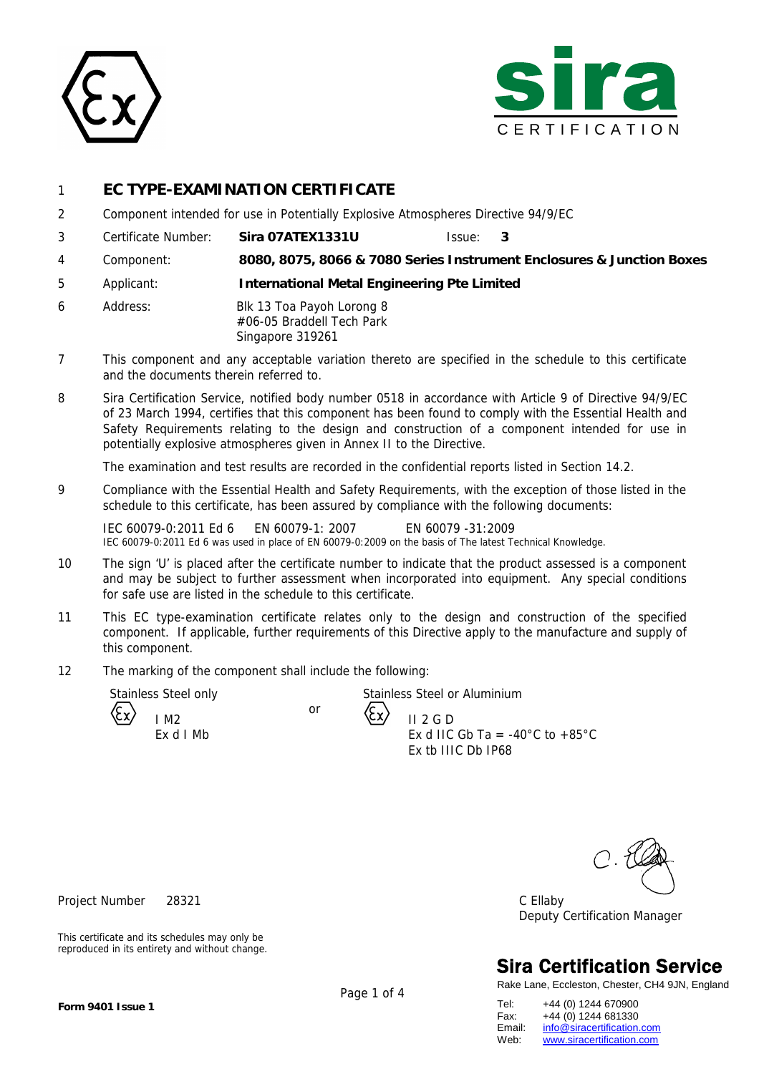



## 1 **EC TYPE-EXAMINATION CERTIFICATE**

- 2 Component intended for use in Potentially Explosive Atmospheres Directive 94/9/EC
- 3 Certificate Number: **Sira 07ATEX1331U** Issue: **3**
- 4 Component: **8080, 8075, 8066 & 7080 Series Instrument Enclosures & Junction Boxes**
- 5 Applicant: **International Metal Engineering Pte Limited**
- 6 Address: Blk 13 Toa Payoh Lorong 8 #06-05 Braddell Tech Park Singapore 319261
- 7 This component and any acceptable variation thereto are specified in the schedule to this certificate and the documents therein referred to.
- 8 Sira Certification Service, notified body number 0518 in accordance with Article 9 of Directive 94/9/EC of 23 March 1994, certifies that this component has been found to comply with the Essential Health and Safety Requirements relating to the design and construction of a component intended for use in potentially explosive atmospheres given in Annex II to the Directive.

The examination and test results are recorded in the confidential reports listed in Section 14.2.

9 Compliance with the Essential Health and Safety Requirements, with the exception of those listed in the schedule to this certificate, has been assured by compliance with the following documents:

IEC 60079-0:2011 Ed 6 EN 60079-1: 2007 EN 60079 -31:2009 IEC 60079-0:2011 Ed 6 was used in place of EN 60079-0:2009 on the basis of The latest Technical Knowledge.

or

- 10 The sign 'U' is placed after the certificate number to indicate that the product assessed is a component and may be subject to further assessment when incorporated into equipment. Any special conditions for safe use are listed in the schedule to this certificate.
- 11 This EC type-examination certificate relates only to the design and construction of the specified component. If applicable, further requirements of this Directive apply to the manufacture and supply of this component.
- 12 The marking of the component shall include the following:

I M2

Stainless Steel only Stainless Steel or Aluminium

II 2 G D  $\begin{array}{cc} \text{Ex d I Mb} \\ \text{Ex d I C G b T} \\ \text{Ex d I C G b T} \end{array} = -40^{\circ} \text{C to } +85^{\circ} \text{C}$ Ex tb IIIC Db IP68

Project Number 28321 C Ellaby Deputy Certification Manager

# **Sira Certification Service**

Rake Lane, Eccleston, Chester, CH4 9JN, England

This certificate and its schedules may only be reproduced in its entirety and without change.

Tel: +44 (0) 1244 670900 Fax: +44 (0) 1244 681330<br>Email: info@siracertification. Email: [info@siracertification.com](mailto:info@siracertification.com)<br>Web: www.siracertification.com [www.siracertification.com](http://www.siracertification.com)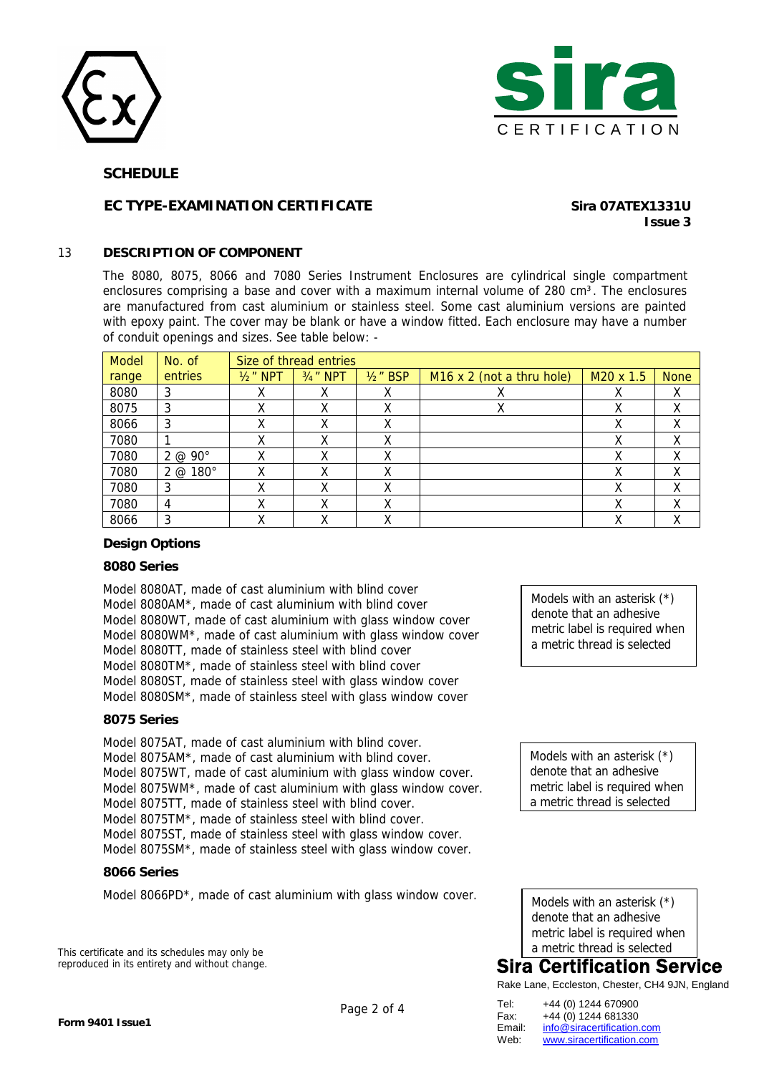



#### **SCHEDULE**

### **EC TYPE-EXAMINATION CERTIFICATE Sira 07ATEX1331U**

# **Issue 3**

#### 13 **DESCRIPTION OF COMPONENT**

The 8080, 8075, 8066 and 7080 Series Instrument Enclosures are cylindrical single compartment enclosures comprising a base and cover with a maximum internal volume of 280 cm<sup>3</sup>. The enclosures are manufactured from cast aluminium or stainless steel. Some cast aluminium versions are painted with epoxy paint. The cover may be blank or have a window fitted. Each enclosure may have a number of conduit openings and sizes. See table below: -

| <b>Model</b> | No. of          | Size of thread entries |                       |             |                                  |                       |             |  |
|--------------|-----------------|------------------------|-----------------------|-------------|----------------------------------|-----------------------|-------------|--|
| range        | entries         | $1/2$ " NPT            | 3/ <sub>4</sub> " NPT | $1/2$ " BSP | $M16 \times 2$ (not a thru hole) | M <sub>20</sub> x 1.5 | <b>None</b> |  |
| 8080         | 3               |                        |                       | х           |                                  |                       | X           |  |
| 8075         | 3               |                        | χ                     |             |                                  | χ                     | χ           |  |
| 8066         | 3               |                        | χ                     | χ           |                                  | х                     | Χ           |  |
| 7080         |                 |                        | χ                     | χ           |                                  | χ                     | Χ           |  |
| 7080         | 2 @ 90°         |                        | v                     |             |                                  | х                     | Χ           |  |
| 7080         | $2 @ 180^\circ$ | χ                      | х                     | x           |                                  | х                     | X           |  |
| 7080         | 3               |                        | v                     | χ           |                                  |                       | χ           |  |
| 7080         | 4               |                        | χ                     | χ           |                                  | χ                     | χ           |  |
| 8066         | 3               |                        | v                     | x           |                                  | х                     | v<br>⋏      |  |

#### **Design Options**

#### **8080 Series**

Model 8080AT, made of cast aluminium with blind cover Model 8080AM\*, made of cast aluminium with blind cover Model 8080WT, made of cast aluminium with glass window cover Model 8080WM\*, made of cast aluminium with glass window cover Model 8080TT, made of stainless steel with blind cover Model 8080TM\*, made of stainless steel with blind cover Model 8080ST, made of stainless steel with glass window cover Model 8080SM\*, made of stainless steel with glass window cover

#### **8075 Series**

Model 8075AT, made of cast aluminium with blind cover. Model 8075AM\*, made of cast aluminium with blind cover. Model 8075WT, made of cast aluminium with glass window cover. Model 8075WM\*, made of cast aluminium with glass window cover. Model 8075TT, made of stainless steel with blind cover. Model 8075TM\*, made of stainless steel with blind cover. Model 8075ST, made of stainless steel with glass window cover. Model 8075SM\*, made of stainless steel with glass window cover.

#### **8066 Series**

Model 8066PD\*, made of cast aluminium with glass window cover.

This certificate and its schedules may only be reproduced in its entirety and without change. Models with an asterisk (\*) denote that an adhesive metric label is required when a metric thread is selected

Models with an asterisk (\*) denote that an adhesive metric label is required when a metric thread is selected

Models with an asterisk (\*) denote that an adhesive metric label is required when a metric thread is selected

## **Sira Certification Service**

Rake Lane, Eccleston, Chester, CH4 9JN, England

Tel: +44 (0) 1244 670900 Fax: +44 (0) 1244 681330<br>Email: info@siracertification. Email: [info@siracertification.com](mailto:info@siracertification.com)<br>Web: www.siracertification.com [www.siracertification.com](http://www.siracertification.com)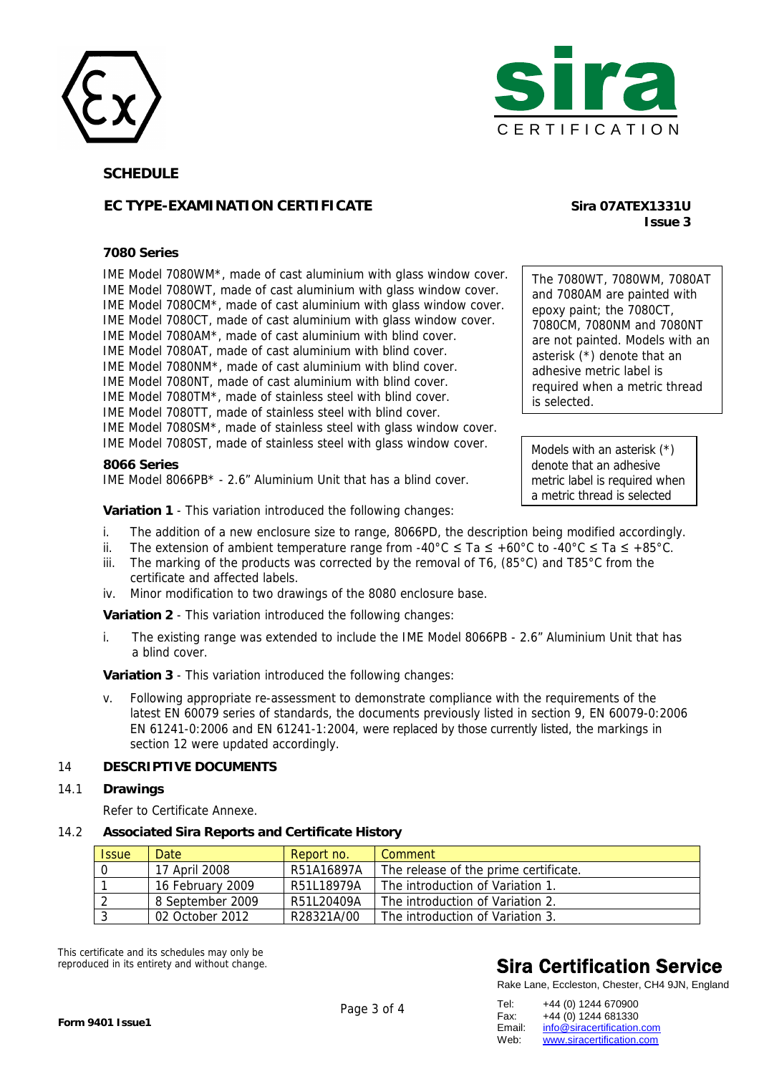



**SCHEDULE** 

### **EC TYPE-EXAMINATION CERTIFICATE Sira 07ATEX1331U**

#### **7080 Series**

IME Model 7080WM\*, made of cast aluminium with glass window cover. IME Model 7080WT, made of cast aluminium with glass window cover. IME Model 7080CM\*, made of cast aluminium with glass window cover. IME Model 7080CT, made of cast aluminium with glass window cover. IME Model 7080AM\*, made of cast aluminium with blind cover. IME Model 7080AT, made of cast aluminium with blind cover. IME Model 7080NM\*, made of cast aluminium with blind cover. IME Model 7080NT, made of cast aluminium with blind cover. IME Model 7080TM\*, made of stainless steel with blind cover. IME Model 7080TT, made of stainless steel with blind cover. IME Model 7080SM\*, made of stainless steel with glass window cover. IME Model 7080ST, made of stainless steel with glass window cover.

**8066 Series**  IME Model 8066PB\* - 2.6" Aluminium Unit that has a blind cover.

**Variation 1** - This variation introduced the following changes:

- i. The addition of a new enclosure size to range, 8066PD, the description being modified accordingly.
- ii. The extension of ambient temperature range from -40°C  $\leq$  Ta  $\leq$  +60°C to -40°C  $\leq$  Ta  $\leq$  +85°C.
- iii. The marking of the products was corrected by the removal of T6, (85 $^{\circ}$ C) and T85 $^{\circ}$ C from the certificate and affected labels.
- iv. Minor modification to two drawings of the 8080 enclosure base.

**Variation 2** - This variation introduced the following changes:

i. The existing range was extended to include the IME Model 8066PB - 2.6" Aluminium Unit that has a blind cover.

**Variation 3** - This variation introduced the following changes:

v. Following appropriate re-assessment to demonstrate compliance with the requirements of the latest EN 60079 series of standards, the documents previously listed in section 9, EN 60079-0:2006 EN 61241-0:2006 and EN 61241-1:2004, were replaced by those currently listed, the markings in section 12 were updated accordingly.

#### 14 **DESCRIPTIVE DOCUMENTS**

#### 14.1 **Drawings**

Refer to Certificate Annexe.

14.2 **Associated Sira Reports and Certificate History**

| <b>Issue</b> | Date             | Report no. | Comment                               |
|--------------|------------------|------------|---------------------------------------|
|              | 17 April 2008    | R51A16897A | The release of the prime certificate. |
|              | 16 February 2009 | R51L18979A | The introduction of Variation 1       |
|              | 8 September 2009 | R51L20409A | The introduction of Variation 2.      |
|              | 02 October 2012  | R28321A/00 | The introduction of Variation 3.      |

This certificate and its schedules may only be reproduced in its entirety and without change.

# **Sira Certification Service**

Rake Lane, Eccleston, Chester, CH4 9JN, England

| Tel:   | +44 (0) 1244 670900        |
|--------|----------------------------|
| Fax:   | +44 (0) 1244 681330        |
| Email: | info@siracertification.com |
| Web:   | www.siracertification.com  |

# **Issue 3**

The 7080WT, 7080WM, 7080AT and 7080AM are painted with epoxy paint; the 7080CT, 7080CM, 7080NM and 7080NT are not painted. Models with an asterisk (\*) denote that an adhesive metric label is required when a metric thread is selected.

Models with an asterisk (\*) denote that an adhesive metric label is required when a metric thread is selected